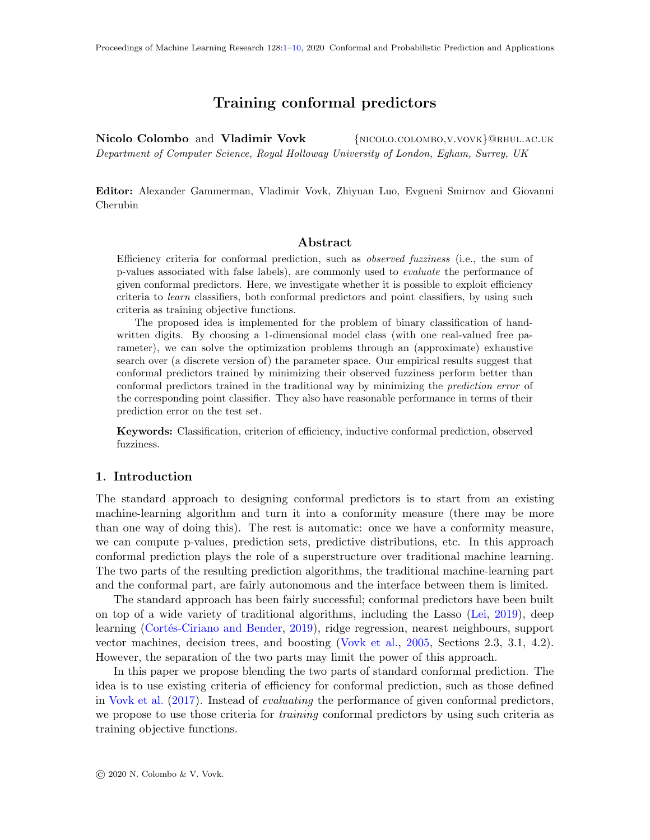# Training conformal predictors

<span id="page-0-0"></span>Nicolo Colombo and Vladimir Vovk {NICOLO.COLOMBO, V.VOVK}@RHUL.AC.UK Department of Computer Science, Royal Holloway University of London, Egham, Surrey, UK

Editor: Alexander Gammerman, Vladimir Vovk, Zhiyuan Luo, Evgueni Smirnov and Giovanni Cherubin

### Abstract

Efficiency criteria for conformal prediction, such as observed fuzziness (i.e., the sum of p-values associated with false labels), are commonly used to evaluate the performance of given conformal predictors. Here, we investigate whether it is possible to exploit efficiency criteria to learn classifiers, both conformal predictors and point classifiers, by using such criteria as training objective functions.

The proposed idea is implemented for the problem of binary classification of handwritten digits. By choosing a 1-dimensional model class (with one real-valued free parameter), we can solve the optimization problems through an (approximate) exhaustive search over (a discrete version of) the parameter space. Our empirical results suggest that conformal predictors trained by minimizing their observed fuzziness perform better than conformal predictors trained in the traditional way by minimizing the *prediction error* of the corresponding point classifier. They also have reasonable performance in terms of their prediction error on the test set.

Keywords: Classification, criterion of efficiency, inductive conformal prediction, observed fuzziness.

### 1. Introduction

The standard approach to designing conformal predictors is to start from an existing machine-learning algorithm and turn it into a conformity measure (there may be more than one way of doing this). The rest is automatic: once we have a conformity measure, we can compute p-values, prediction sets, predictive distributions, etc. In this approach conformal prediction plays the role of a superstructure over traditional machine learning. The two parts of the resulting prediction algorithms, the traditional machine-learning part and the conformal part, are fairly autonomous and the interface between them is limited.

The standard approach has been fairly successful; conformal predictors have been built on top of a wide variety of traditional algorithms, including the Lasso [\(Lei,](#page-9-1) [2019\)](#page-9-1), deep learning (Cortés-Ciriano and Bender, [2019\)](#page-9-2), ridge regression, nearest neighbours, support vector machines, decision trees, and boosting [\(Vovk et al.,](#page-9-3) [2005,](#page-9-3) Sections 2.3, 3.1, 4.2). However, the separation of the two parts may limit the power of this approach.

In this paper we propose blending the two parts of standard conformal prediction. The idea is to use existing criteria of efficiency for conformal prediction, such as those defined in [Vovk et al.](#page-9-4) [\(2017\)](#page-9-4). Instead of evaluating the performance of given conformal predictors, we propose to use those criteria for training conformal predictors by using such criteria as training objective functions.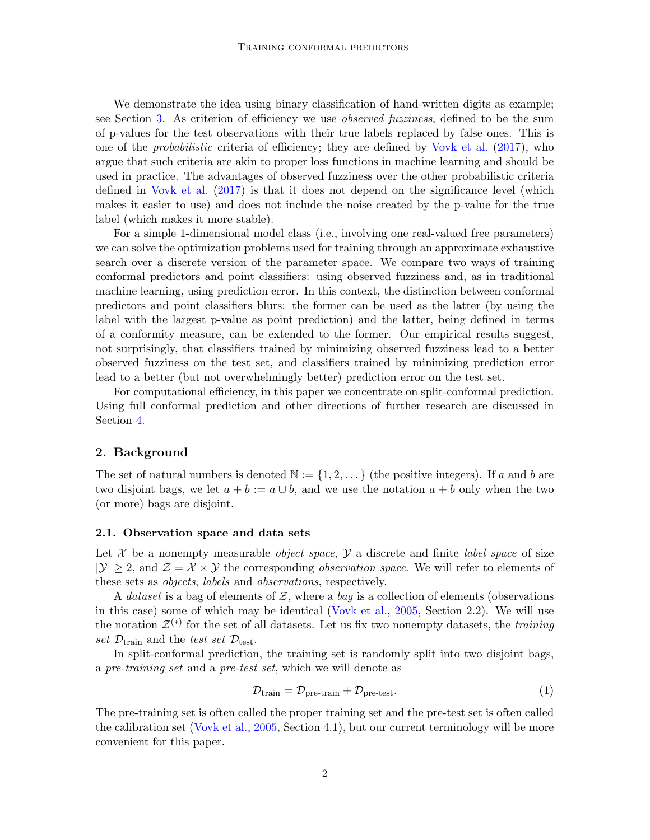We demonstrate the idea using binary classification of hand-written digits as example; see Section [3.](#page-3-0) As criterion of efficiency we use observed fuzziness, defined to be the sum of p-values for the test observations with their true labels replaced by false ones. This is one of the probabilistic criteria of efficiency; they are defined by [Vovk et al.](#page-9-4) [\(2017\)](#page-9-4), who argue that such criteria are akin to proper loss functions in machine learning and should be used in practice. The advantages of observed fuzziness over the other probabilistic criteria defined in [Vovk et al.](#page-9-4) [\(2017\)](#page-9-4) is that it does not depend on the significance level (which makes it easier to use) and does not include the noise created by the p-value for the true label (which makes it more stable).

For a simple 1-dimensional model class (i.e., involving one real-valued free parameters) we can solve the optimization problems used for training through an approximate exhaustive search over a discrete version of the parameter space. We compare two ways of training conformal predictors and point classifiers: using observed fuzziness and, as in traditional machine learning, using prediction error. In this context, the distinction between conformal predictors and point classifiers blurs: the former can be used as the latter (by using the label with the largest p-value as point prediction) and the latter, being defined in terms of a conformity measure, can be extended to the former. Our empirical results suggest, not surprisingly, that classifiers trained by minimizing observed fuzziness lead to a better observed fuzziness on the test set, and classifiers trained by minimizing prediction error lead to a better (but not overwhelmingly better) prediction error on the test set.

For computational efficiency, in this paper we concentrate on split-conformal prediction. Using full conformal prediction and other directions of further research are discussed in Section [4.](#page-8-0)

### 2. Background

The set of natural numbers is denoted  $\mathbb{N} := \{1, 2, \dots\}$  (the positive integers). If a and b are two disjoint bags, we let  $a + b := a \cup b$ , and we use the notation  $a + b$  only when the two (or more) bags are disjoint.

### 2.1. Observation space and data sets

Let X be a nonempty measurable *object space*,  $\mathcal Y$  a discrete and finite *label space* of size  $|\mathcal{Y}| > 2$ , and  $\mathcal{Z} = \mathcal{X} \times \mathcal{Y}$  the corresponding *observation space*. We will refer to elements of these sets as objects, labels and observations, respectively.

A dataset is a bag of elements of Z, where a bag is a collection of elements (observations in this case) some of which may be identical [\(Vovk et al.,](#page-9-3) [2005,](#page-9-3) Section 2.2). We will use the notation  $\mathcal{Z}^{(*)}$  for the set of all datasets. Let us fix two nonempty datasets, the training set  $\mathcal{D}_{\text{train}}$  and the test set  $\mathcal{D}_{\text{test}}$ .

In split-conformal prediction, the training set is randomly split into two disjoint bags, a pre-training set and a pre-test set, which we will denote as

<span id="page-1-0"></span>
$$
\mathcal{D}_{\text{train}} = \mathcal{D}_{\text{pre-train}} + \mathcal{D}_{\text{pre-test}}.\tag{1}
$$

The pre-training set is often called the proper training set and the pre-test set is often called the calibration set [\(Vovk et al.,](#page-9-3) [2005,](#page-9-3) Section 4.1), but our current terminology will be more convenient for this paper.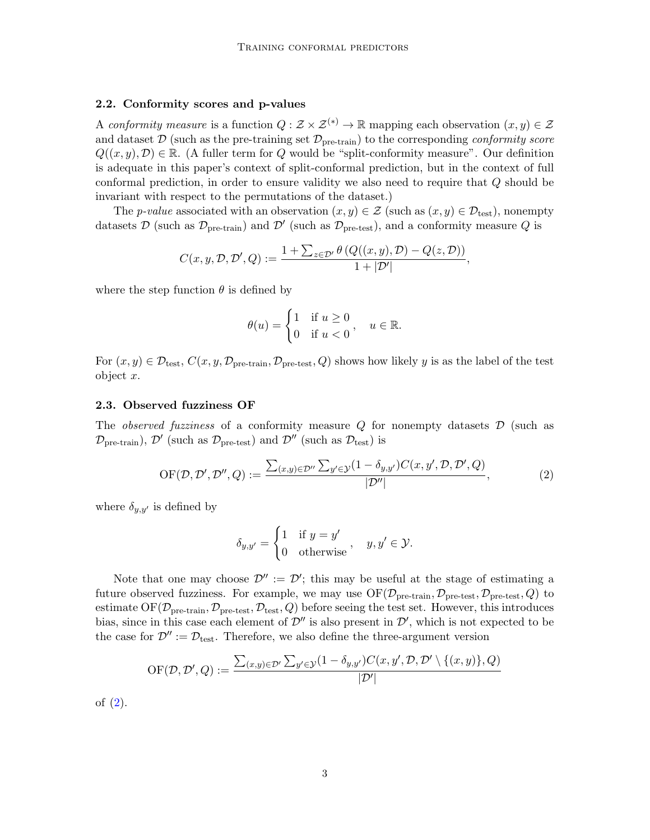### 2.2. Conformity scores and p-values

A conformity measure is a function  $Q : \mathcal{Z} \times \mathcal{Z}^{(*)} \to \mathbb{R}$  mapping each observation  $(x, y) \in \mathcal{Z}$ and dataset  $\mathcal{D}$  (such as the pre-training set  $\mathcal{D}_{pre-train}$ ) to the corresponding *conformity score*  $Q((x, y), \mathcal{D}) \in \mathbb{R}$ . (A fuller term for Q would be "split-conformity measure". Our definition is adequate in this paper's context of split-conformal prediction, but in the context of full conformal prediction, in order to ensure validity we also need to require that Q should be invariant with respect to the permutations of the dataset.)

The p-value associated with an observation  $(x, y) \in \mathcal{Z}$  (such as  $(x, y) \in \mathcal{D}_{\text{test}}$ ), nonempty datasets D (such as  $\mathcal{D}_{pre-train}$ ) and  $\mathcal{D}'$  (such as  $\mathcal{D}_{pre-test}$ ), and a conformity measure Q is

$$
C(x, y, \mathcal{D}, \mathcal{D}', Q) := \frac{1 + \sum_{z \in \mathcal{D}'} \theta (Q((x, y), \mathcal{D}) - Q(z, \mathcal{D}))}{1 + |\mathcal{D}'|},
$$

where the step function  $\theta$  is defined by

$$
\theta(u) = \begin{cases} 1 & \text{if } u \ge 0 \\ 0 & \text{if } u < 0 \end{cases}, \quad u \in \mathbb{R}.
$$

For  $(x, y) \in \mathcal{D}_{\text{test}}, C(x, y, \mathcal{D}_{\text{pre-train}}, \mathcal{D}_{\text{pre-test}}, Q)$  shows how likely y is as the label of the test object x.

#### 2.3. Observed fuzziness OF

The *observed fuzziness* of a conformity measure  $Q$  for nonempty datasets  $D$  (such as  $\mathcal{D}_{pre-train}$ ,  $\mathcal{D}'$  (such as  $\mathcal{D}_{pre-test}$ ) and  $\mathcal{D}''$  (such as  $\mathcal{D}_{test}$ ) is

<span id="page-2-0"></span>
$$
\text{OF}(\mathcal{D}, \mathcal{D}', \mathcal{D}'', Q) := \frac{\sum_{(x,y)\in \mathcal{D}''} \sum_{y'\in \mathcal{Y}} (1 - \delta_{y,y'}) C(x, y', \mathcal{D}, \mathcal{D}', Q)}{|\mathcal{D}''|},\tag{2}
$$

where  $\delta_{y,y'}$  is defined by

$$
\delta_{y,y'} = \begin{cases} 1 & \text{if } y = y' \\ 0 & \text{otherwise} \end{cases}, \quad y, y' \in \mathcal{Y}.
$$

Note that one may choose  $\mathcal{D}'' := \mathcal{D}'$ ; this may be useful at the stage of estimating a future observed fuzziness. For example, we may use  $\mathrm{OF}(\mathcal{D}_\mathrm{pre-train}, \mathcal{D}_\mathrm{pre-test}, \mathcal{D}_\mathrm{pre-test}, Q)$  to estimate OF( $\mathcal{D}_{pre-train}, \mathcal{D}_{pre-test}, \mathcal{D}_{test}, Q$ ) before seeing the test set. However, this introduces bias, since in this case each element of  $\mathcal{D}''$  is also present in  $\mathcal{D}'$ , which is not expected to be the case for  $\mathcal{D}'' := \mathcal{D}_{\text{test}}$ . Therefore, we also define the three-argument version

$$
\mathrm{OF}(\mathcal{D},\mathcal{D}',Q):=\frac{\sum_{(x,y)\in\mathcal{D}'}\sum_{y'\in\mathcal{Y}}(1-\delta_{y,y'})C(x,y',\mathcal{D},\mathcal{D}'\setminus\{(x,y)\},Q)}{|\mathcal{D}'|}
$$

of [\(2\)](#page-2-0).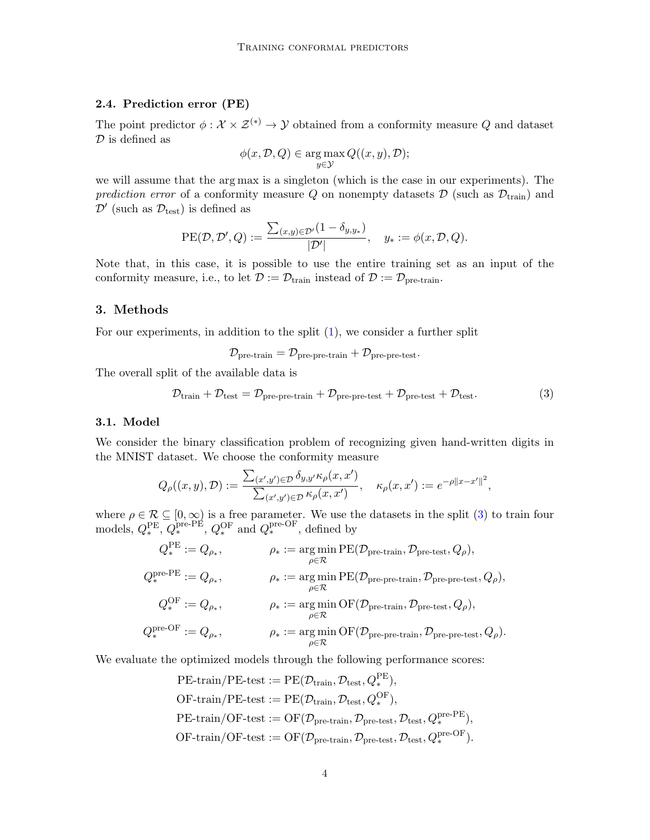# 2.4. Prediction error (PE)

The point predictor  $\phi : \mathcal{X} \times \mathcal{Z}^{(*)} \to \mathcal{Y}$  obtained from a conformity measure Q and dataset  ${\mathcal D}$  is defined as

$$
\phi(x, \mathcal{D}, Q) \in \argmax_{y \in \mathcal{Y}} Q((x, y), \mathcal{D});
$$

we will assume that the arg max is a singleton (which is the case in our experiments). The prediction error of a conformity measure Q on nonempty datasets  $\mathcal{D}$  (such as  $\mathcal{D}_{train}$ ) and  $\mathcal{D}'$  (such as  $\mathcal{D}_{\text{test}}$ ) is defined as

PE(
$$
\mathcal{D}, \mathcal{D}', Q
$$
) :=  $\frac{\sum_{(x,y)\in \mathcal{D}'} (1 - \delta_{y,y_*})}{|\mathcal{D}'|}, \quad y_* := \phi(x, \mathcal{D}, Q).$ 

Note that, in this case, it is possible to use the entire training set as an input of the conformity measure, i.e., to let  $\mathcal{D} := \mathcal{D}_{\text{train}}$  instead of  $\mathcal{D} := \mathcal{D}_{\text{pre-train}}$ .

## <span id="page-3-0"></span>3. Methods

For our experiments, in addition to the split [\(1\)](#page-1-0), we consider a further split

 $\mathcal{D}_{pre-train} = \mathcal{D}_{pre-pre-train} + \mathcal{D}_{pre-pre-test}.$ 

The overall split of the available data is

<span id="page-3-1"></span>
$$
\mathcal{D}_{\text{train}} + \mathcal{D}_{\text{test}} = \mathcal{D}_{\text{pre-pre-train}} + \mathcal{D}_{\text{pre-pre-test}} + \mathcal{D}_{\text{pre-test}} + \mathcal{D}_{\text{test}}.
$$
\n(3)

### <span id="page-3-2"></span>3.1. Model

We consider the binary classification problem of recognizing given hand-written digits in the MNIST dataset. We choose the conformity measure

$$
Q_{\rho}((x,y),\mathcal{D}) := \frac{\sum_{(x',y')\in\mathcal{D}} \delta_{y,y'} \kappa_{\rho}(x,x')}{\sum_{(x',y')\in\mathcal{D}} \kappa_{\rho}(x,x')} , \quad \kappa_{\rho}(x,x') := e^{-\rho ||x-x'||^2},
$$

where  $\rho \in \mathcal{R} \subseteq [0,\infty)$  is a free parameter. We use the datasets in the split [\(3\)](#page-3-1) to train four models,  $Q_*^{\text{PE}}, Q_*^{\text{pre-PE}}, Q_*^{\text{OF}}$  and  $Q_*^{\text{pre-OF}},$  defined by

$$
Q_*^{\text{PE}} := Q_{\rho_*}, \qquad \rho_* := \underset{\rho \in \mathcal{R}}{\arg \min} \text{PE}(\mathcal{D}_{\text{pre-train}}, \mathcal{D}_{\text{pre-test}}, Q_{\rho}),
$$
  
\n
$$
Q_*^{\text{pre-PE}} := Q_{\rho_*}, \qquad \rho_* := \underset{\rho \in \mathcal{R}}{\arg \min} \text{PE}(\mathcal{D}_{\text{pre-pre-train}}, \mathcal{D}_{\text{pre-pre-test}}, Q_{\rho}),
$$
  
\n
$$
Q_*^{\text{OF}} := Q_{\rho_*}, \qquad \rho_* := \underset{\rho \in \mathcal{R}}{\arg \min} \text{OF}(\mathcal{D}_{\text{pre-train}}, \mathcal{D}_{\text{pre-test}}, Q_{\rho}),
$$
  
\n
$$
Q_*^{\text{pre-OF}} := Q_{\rho_*}, \qquad \rho_* := \underset{\rho \in \mathcal{R}}{\arg \min} \text{OF}(\mathcal{D}_{\text{pre-pre-train}}, \mathcal{D}_{\text{pre-pre-test}}, Q_{\rho}).
$$

We evaluate the optimized models through the following performance scores:

PE-train/PE-test := PE(
$$
\mathcal{D}_{\text{train}}
$$
,  $\mathcal{D}_{\text{test}}$ ,  $Q_*^{\text{PE}}$ ),  
OF-train/PE-test := PE( $\mathcal{D}_{\text{train}}$ ,  $\mathcal{D}_{\text{test}}$ ,  $Q_*^{\text{OF}}$ ),  
PE-train/OF-test := OF( $\mathcal{D}_{\text{pre-train}}$ ,  $\mathcal{D}_{\text{pre-test}}$ ,  $\mathcal{D}_{\text{test}}$ ,  $Q_*^{\text{pre-PE}}$ ),  
OF-train/OF-test := OF( $\mathcal{D}_{\text{pre-train}}$ ,  $\mathcal{D}_{\text{pre-test}}$ ,  $\mathcal{D}_{\text{test}}$ ,  $Q_*^{\text{pre-OF}}$ ).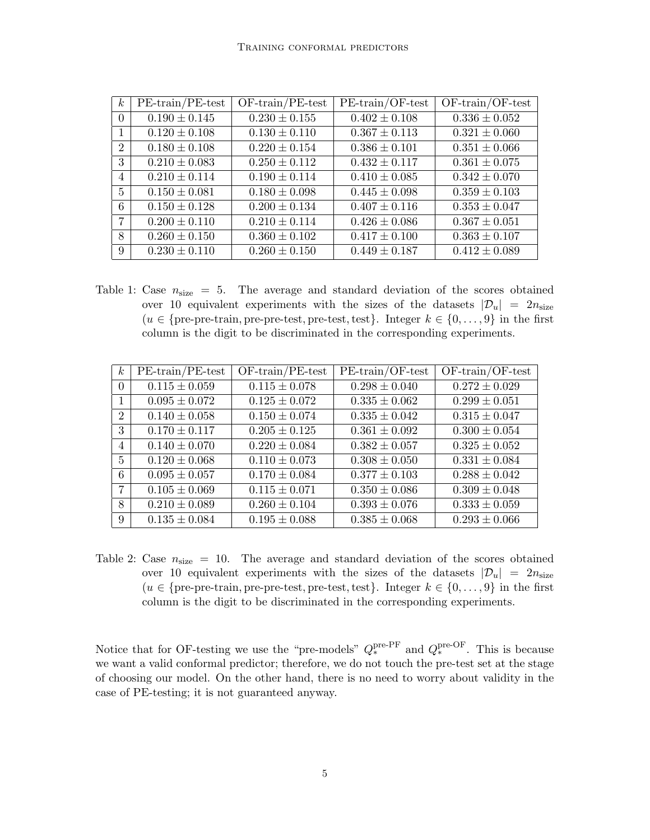| $\boldsymbol{k}$ | $PE-train/PE-test$ | $OF-train/PE-test$ | $PE-train/OF-test$ | $OF-train/OF-test$ |
|------------------|--------------------|--------------------|--------------------|--------------------|
| $\Omega$         | $0.190 \pm 0.145$  | $0.230 \pm 0.155$  | $0.402 \pm 0.108$  | $0.336 \pm 0.052$  |
| $\mathbf{1}$     | $0.120 \pm 0.108$  | $0.130 \pm 0.110$  | $0.367 \pm 0.113$  | $0.321 \pm 0.060$  |
| $\mathfrak{D}$   | $0.180 \pm 0.108$  | $0.220 \pm 0.154$  | $0.386 \pm 0.101$  | $0.351 \pm 0.066$  |
| 3                | $0.210 \pm 0.083$  | $0.250 \pm 0.112$  | $0.432 \pm 0.117$  | $0.361 \pm 0.075$  |
| $\overline{4}$   | $0.210 \pm 0.114$  | $0.190 \pm 0.114$  | $0.410 \pm 0.085$  | $0.342 \pm 0.070$  |
| 5                | $0.150 \pm 0.081$  | $0.180 \pm 0.098$  | $0.445 \pm 0.098$  | $0.359 \pm 0.103$  |
| 6                | $0.150 \pm 0.128$  | $0.200 \pm 0.134$  | $0.407 \pm 0.116$  | $0.353 \pm 0.047$  |
| 7                | $0.200 \pm 0.110$  | $0.210 \pm 0.114$  | $0.426 \pm 0.086$  | $0.367 \pm 0.051$  |
| 8                | $0.260 \pm 0.150$  | $0.360 \pm 0.102$  | $0.417 \pm 0.100$  | $0.363 \pm 0.107$  |
| 9                | $0.230 \pm 0.110$  | $0.260 \pm 0.150$  | $0.449 \pm 0.187$  | $0.412 \pm 0.089$  |

<span id="page-4-0"></span>Table 1: Case  $n_{size} = 5$ . The average and standard deviation of the scores obtained over 10 equivalent experiments with the sizes of the datasets  $|\mathcal{D}_u| = 2n_{\text{size}}$  $(u \in \{\text{pre-pre-train}, \text{pre-test}, \text{pre-test}, \text{test}\}.$  Integer  $k \in \{0, \ldots, 9\}$  in the first column is the digit to be discriminated in the corresponding experiments.

| $\boldsymbol{k}$ | $PE-train/PE-test$ | $OF-train/PE-test$ | $PE-train/OF-test$ | $OF-train/OF-test$ |
|------------------|--------------------|--------------------|--------------------|--------------------|
| $\theta$         | $0.115 \pm 0.059$  | $0.115 \pm 0.078$  | $0.298 \pm 0.040$  | $0.272 \pm 0.029$  |
|                  | $0.095 \pm 0.072$  | $0.125 \pm 0.072$  | $0.335 \pm 0.062$  | $0.299 \pm 0.051$  |
| $\overline{2}$   | $0.140 \pm 0.058$  | $0.150 \pm 0.074$  | $0.335 \pm 0.042$  | $0.315 \pm 0.047$  |
| 3                | $0.170 \pm 0.117$  | $0.205 \pm 0.125$  | $0.361 \pm 0.092$  | $0.300 \pm 0.054$  |
| $\overline{4}$   | $0.140 \pm 0.070$  | $0.220 \pm 0.084$  | $0.382 \pm 0.057$  | $0.325 \pm 0.052$  |
| $\mathbf{5}$     | $0.120 \pm 0.068$  | $0.110 \pm 0.073$  | $0.308 \pm 0.050$  | $0.331 \pm 0.084$  |
| 6                | $0.095 \pm 0.057$  | $0.170 \pm 0.084$  | $0.377 \pm 0.103$  | $0.288 \pm 0.042$  |
| 7                | $0.105 \pm 0.069$  | $0.115 \pm 0.071$  | $0.350 \pm 0.086$  | $0.309 \pm 0.048$  |
| 8                | $0.210 \pm 0.089$  | $0.260 \pm 0.104$  | $0.393 \pm 0.076$  | $0.333 \pm 0.059$  |
| 9                | $0.135 \pm 0.084$  | $0.195 \pm 0.088$  | $0.385 \pm 0.068$  | $0.293 \pm 0.066$  |

Table 2: Case  $n_{size} = 10$ . The average and standard deviation of the scores obtained over 10 equivalent experiments with the sizes of the datasets  $|\mathcal{D}_u| = 2n_{\text{size}}$  $(u \in \{\text{pre-pre-train}, \text{pre-test}, \text{pre-test}, \text{test}\}.$  Integer  $k \in \{0, \ldots, 9\}$  in the first column is the digit to be discriminated in the corresponding experiments.

Notice that for OF-testing we use the "pre-models"  $Q_*^{\text{pre-PF}}$  and  $Q_*^{\text{pre-OF}}$ . This is because we want a valid conformal predictor; therefore, we do not touch the pre-test set at the stage of choosing our model. On the other hand, there is no need to worry about validity in the case of PE-testing; it is not guaranteed anyway.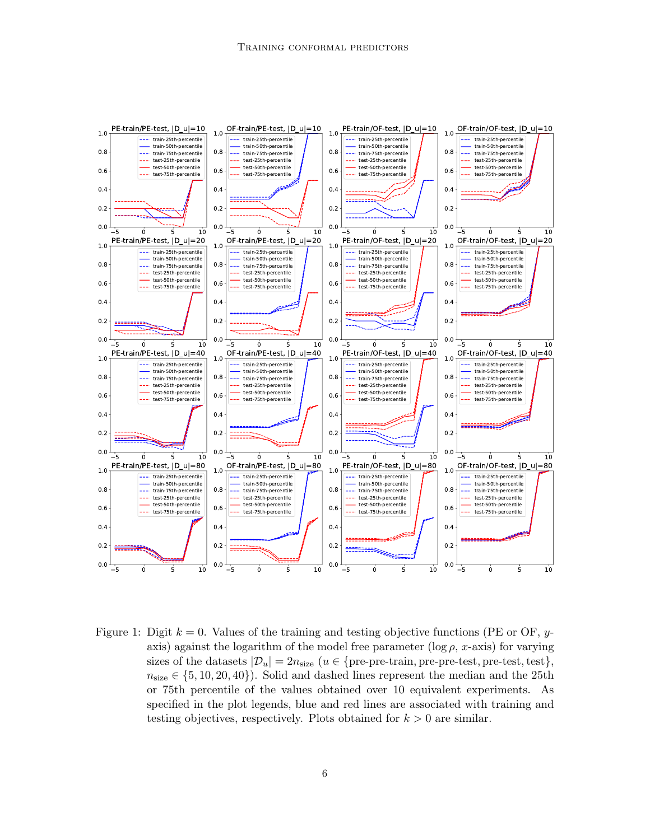

<span id="page-5-0"></span>Figure 1: Digit  $k = 0$ . Values of the training and testing objective functions (PE or OF, yaxis) against the logarithm of the model free parameter ( $\log \rho$ , x-axis) for varying sizes of the datasets  $|\mathcal{D}_u| = 2n_{\text{size}}$  ( $u \in \{\text{pre-pre-train}, \text{pre-test}, \text{pre-test}, \text{test}\},\$  $n_{size} \in \{5, 10, 20, 40\}$ . Solid and dashed lines represent the median and the 25th or 75th percentile of the values obtained over 10 equivalent experiments. As specified in the plot legends, blue and red lines are associated with training and testing objectives, respectively. Plots obtained for  $k > 0$  are similar.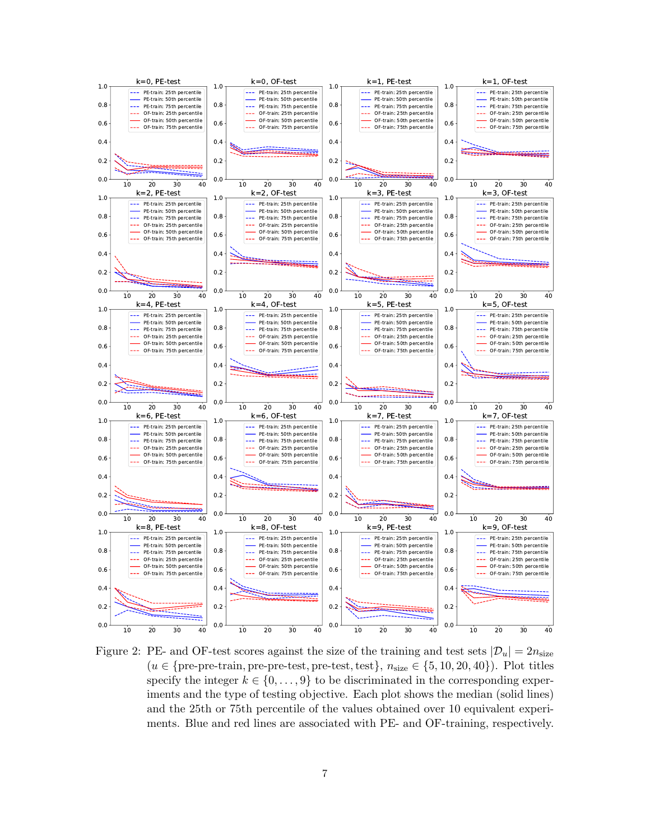

<span id="page-6-0"></span>Figure 2: PE- and OF-test scores against the size of the training and test sets  $|\mathcal{D}_u| = 2n_{\text{size}}$  $(u \in \{\text{pre-pre-train}, \text{pre-test}, \text{pre-test}, \text{test}\}, n_{\text{size}} \in \{5, 10, 20, 40\}).$  Plot titles specify the integer  $k \in \{0, \ldots, 9\}$  to be discriminated in the corresponding experiments and the type of testing objective. Each plot shows the median (solid lines) and the 25th or 75th percentile of the values obtained over 10 equivalent experiments. Blue and red lines are associated with PE- and OF-training, respectively.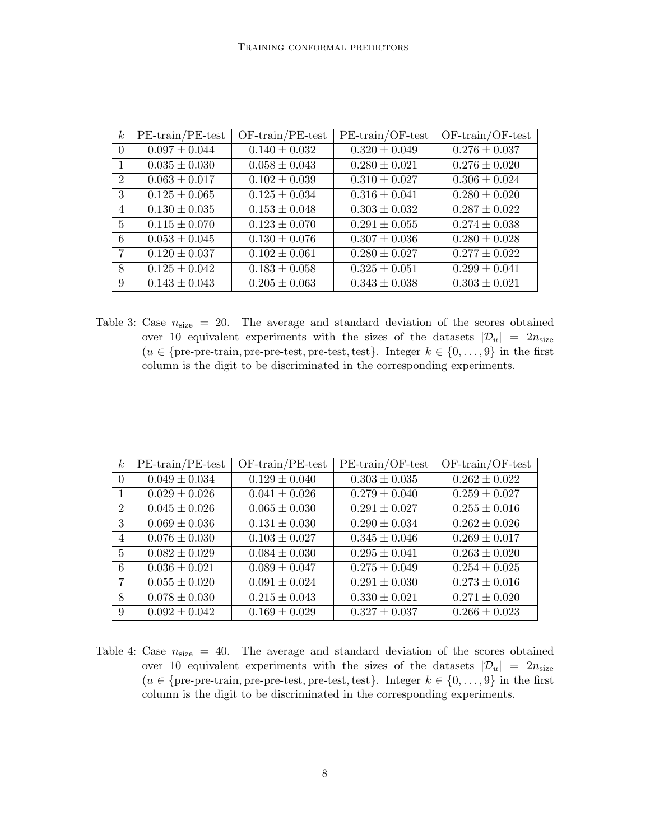| $\boldsymbol{k}$ | $PE-train/PE-test$ | $OF-train/PE-test$ | $PE-train/OF-test$ | $OF-train/OF-test$       |
|------------------|--------------------|--------------------|--------------------|--------------------------|
| $\Omega$         | $0.097 \pm 0.044$  | $0.140 \pm 0.032$  | $0.320 \pm 0.049$  | $\sqrt{0.276} \pm 0.037$ |
| 1                | $0.035 \pm 0.030$  | $0.058 \pm 0.043$  | $0.280 \pm 0.021$  | $0.276 \pm 0.020$        |
| $\overline{2}$   | $0.063 \pm 0.017$  | $0.102 \pm 0.039$  | $0.310 \pm 0.027$  | $0.306 \pm 0.024$        |
| 3                | $0.125 \pm 0.065$  | $0.125 \pm 0.034$  | $0.316 \pm 0.041$  | $0.280 \pm 0.020$        |
| 4                | $0.130 \pm 0.035$  | $0.153 \pm 0.048$  | $0.303 \pm 0.032$  | $0.287 \pm 0.022$        |
| 5                | $0.115 \pm 0.070$  | $0.123 \pm 0.070$  | $0.291 \pm 0.055$  | $0.274 \pm 0.038$        |
| 6                | $0.053 \pm 0.045$  | $0.130 \pm 0.076$  | $0.307 \pm 0.036$  | $0.280 \pm 0.028$        |
| $\overline{7}$   | $0.120 \pm 0.037$  | $0.102 \pm 0.061$  | $0.280 \pm 0.027$  | $0.277 \pm 0.022$        |
| 8                | $0.125 \pm 0.042$  | $0.183 \pm 0.058$  | $0.325 \pm 0.051$  | $0.299 \pm 0.041$        |
| 9                | $0.143 \pm 0.043$  | $0.205 \pm 0.063$  | $0.343 \pm 0.038$  | $0.303 \pm 0.021$        |

Table 3: Case  $n_{size}$  = 20. The average and standard deviation of the scores obtained over 10 equivalent experiments with the sizes of the datasets  $|\mathcal{D}_u| = 2n_{\text{size}}$  $(u \in \{\text{pre-pre-train}, \text{pre-test}, \text{pre-test}, \text{test}\}.$  Integer  $k \in \{0, \ldots, 9\}$  in the first column is the digit to be discriminated in the corresponding experiments.

| $k_{\rm}$      | $PE-train/PE-test$           | $OF-train/PE-test$ | $PE-train/OF-test$ | $OF-train/OF-test$ |
|----------------|------------------------------|--------------------|--------------------|--------------------|
| $\Omega$       | $\overline{0.049} \pm 0.034$ | $0.129 \pm 0.040$  | $0.303 \pm 0.035$  | $0.262 \pm 0.022$  |
|                | $0.029 \pm 0.026$            | $0.041 \pm 0.026$  | $0.279 \pm 0.040$  | $0.259 \pm 0.027$  |
| $\overline{2}$ | $0.045 \pm 0.026$            | $0.065 \pm 0.030$  | $0.291 \pm 0.027$  | $0.255 \pm 0.016$  |
| 3              | $0.069 \pm 0.036$            | $0.131 \pm 0.030$  | $0.290 \pm 0.034$  | $0.262 \pm 0.026$  |
| $\overline{4}$ | $0.076 \pm 0.030$            | $0.103 \pm 0.027$  | $0.345 \pm 0.046$  | $0.269 \pm 0.017$  |
| 5              | $0.082 \pm 0.029$            | $0.084 \pm 0.030$  | $0.295 \pm 0.041$  | $0.263 \pm 0.020$  |
| 6              | $0.036 \pm 0.021$            | $0.089 \pm 0.047$  | $0.275 \pm 0.049$  | $0.254 \pm 0.025$  |
| $\overline{7}$ | $0.055 \pm 0.020$            | $0.091 \pm 0.024$  | $0.291 \pm 0.030$  | $0.273 \pm 0.016$  |
| 8              | $0.078 \pm 0.030$            | $0.215 \pm 0.043$  | $0.330 \pm 0.021$  | $0.271 \pm 0.020$  |
| 9              | $0.092 \pm 0.042$            | $0.169 \pm 0.029$  | $0.327 \pm 0.037$  | $0.266 \pm 0.023$  |

<span id="page-7-0"></span>Table 4: Case  $n_{size}$  = 40. The average and standard deviation of the scores obtained over 10 equivalent experiments with the sizes of the datasets  $|\mathcal{D}_u| = 2n_{\text{size}}$  $(u \in \{\text{pre-pre-train}, \text{pre-test}, \text{pre-test}, \text{test}\}.$  Integer  $k \in \{0, \ldots, 9\}$  in the first column is the digit to be discriminated in the corresponding experiments.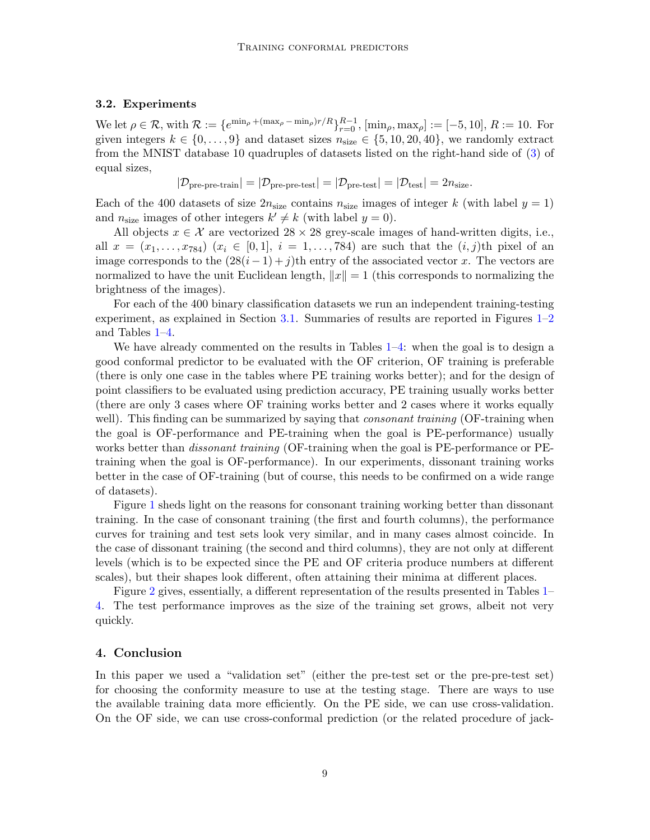### 3.2. Experiments

We let  $\rho \in \mathcal{R}$ , with  $\mathcal{R} := \{e^{\min_{\rho} + (\max_{\rho} - \min_{\rho})r/R}\}_{r=0}^{R-1}$ ,  $[\min_{\rho}, \max_{\rho}] := [-5, 10]$ ,  $R := 10$ . For given integers  $k \in \{0, \ldots, 9\}$  and dataset sizes  $n_{size} \in \{5, 10, 20, 40\}$ , we randomly extract from the MNIST database 10 quadruples of datasets listed on the right-hand side of [\(3\)](#page-3-1) of equal sizes,

$$
|\mathcal{D}_{pre-pre-train}| = |\mathcal{D}_{pre-pre-test}| = |\mathcal{D}_{pre-test}| = |\mathcal{D}_{test}| = 2n_{size}.
$$

Each of the 400 datasets of size  $2n_{size}$  contains  $n_{size}$  images of integer k (with label  $y = 1$ ) and  $n_{\text{size}}$  images of other integers  $k' \neq k$  (with label  $y = 0$ ).

All objects  $x \in \mathcal{X}$  are vectorized  $28 \times 28$  grey-scale images of hand-written digits, i.e., all  $x = (x_1, \ldots, x_{784})$   $(x_i \in [0,1], i = 1, \ldots, 784)$  are such that the  $(i, j)$ th pixel of an image corresponds to the  $(28(i - 1) + j)$ th entry of the associated vector x. The vectors are normalized to have the unit Euclidean length,  $||x|| = 1$  (this corresponds to normalizing the brightness of the images).

For each of the 400 binary classification datasets we run an independent training-testing experiment, as explained in Section  $3.1$ . Summaries of results are reported in Figures  $1-2$  $1-2$ and Tables [1](#page-4-0)[–4.](#page-7-0)

We have already commented on the results in Tables [1–](#page-4-0)[4:](#page-7-0) when the goal is to design a good conformal predictor to be evaluated with the OF criterion, OF training is preferable (there is only one case in the tables where PE training works better); and for the design of point classifiers to be evaluated using prediction accuracy, PE training usually works better (there are only 3 cases where OF training works better and 2 cases where it works equally well). This finding can be summarized by saying that *consonant training* (OF-training when the goal is OF-performance and PE-training when the goal is PE-performance) usually works better than *dissonant training* (OF-training when the goal is PE-performance or PEtraining when the goal is OF-performance). In our experiments, dissonant training works better in the case of OF-training (but of course, this needs to be confirmed on a wide range of datasets).

Figure [1](#page-5-0) sheds light on the reasons for consonant training working better than dissonant training. In the case of consonant training (the first and fourth columns), the performance curves for training and test sets look very similar, and in many cases almost coincide. In the case of dissonant training (the second and third columns), they are not only at different levels (which is to be expected since the PE and OF criteria produce numbers at different scales), but their shapes look different, often attaining their minima at different places.

Figure [2](#page-6-0) gives, essentially, a different representation of the results presented in Tables [1–](#page-4-0) [4.](#page-7-0) The test performance improves as the size of the training set grows, albeit not very quickly.

## <span id="page-8-0"></span>4. Conclusion

In this paper we used a "validation set" (either the pre-test set or the pre-pre-test set) for choosing the conformity measure to use at the testing stage. There are ways to use the available training data more efficiently. On the PE side, we can use cross-validation. On the OF side, we can use cross-conformal prediction (or the related procedure of jack